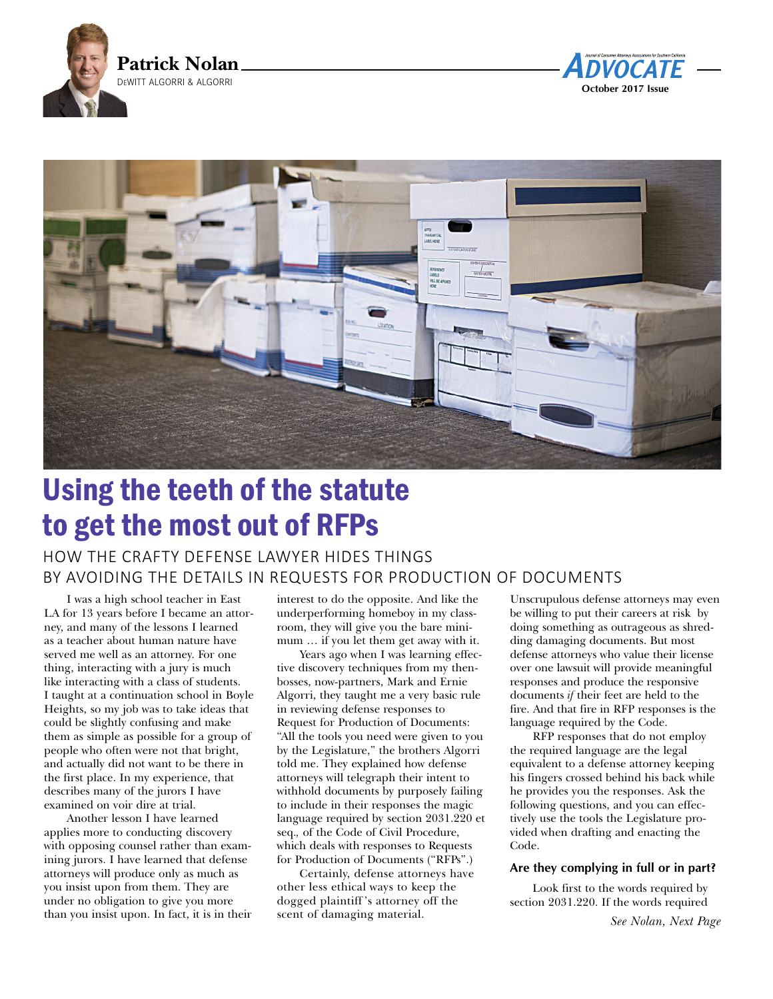





# Using the teeth of the statute to get the most out of RFPs

## HOW THE CRAFTY DEFENSE LAWYER HIDES THINGS BY AVOIDING THE DETAILS IN REQUESTS FOR PRODUCTION OF DOCUMENTS

I was a high school teacher in East LA for 13 years before I became an attorney, and many of the lessons I learned as a teacher about human nature have served me well as an attorney. For one thing, interacting with a jury is much like interacting with a class of students. I taught at a continuation school in Boyle Heights, so my job was to take ideas that could be slightly confusing and make them as simple as possible for a group of people who often were not that bright, and actually did not want to be there in the first place. In my experience, that describes many of the jurors I have examined on voir dire at trial.

Another lesson I have learned applies more to conducting discovery with opposing counsel rather than examining jurors. I have learned that defense attorneys will produce only as much as you insist upon from them. They are under no obligation to give you more than you insist upon. In fact, it is in their interest to do the opposite. And like the underperforming homeboy in my classroom, they will give you the bare minimum … if you let them get away with it.

Years ago when I was learning effective discovery techniques from my thenbosses, now-partners, Mark and Ernie Algorri, they taught me a very basic rule in reviewing defense responses to Request for Production of Documents: "All the tools you need were given to you by the Legislature," the brothers Algorri told me. They explained how defense attorneys will telegraph their intent to withhold documents by purposely failing to include in their responses the magic language required by section 2031.220 et seq.*,* of the Code of Civil Procedure, which deals with responses to Requests for Production of Documents ("RFPs".)

Certainly, defense attorneys have other less ethical ways to keep the dogged plaintiff 's attorney off the scent of damaging material.

Unscrupulous defense attorneys may even be willing to put their careers at risk by doing something as outrageous as shredding damaging documents. But most defense attorneys who value their license over one lawsuit will provide meaningful responses and produce the responsive documents *if* their feet are held to the fire. And that fire in RFP responses is the language required by the Code.

RFP responses that do not employ the required language are the legal equivalent to a defense attorney keeping his fingers crossed behind his back while he provides you the responses. Ask the following questions, and you can effectively use the tools the Legislature provided when drafting and enacting the Code.

### **Are they complying in full or in part?**

Look first to the words required by section 2031.220. If the words required

*See Nolan, Next Page*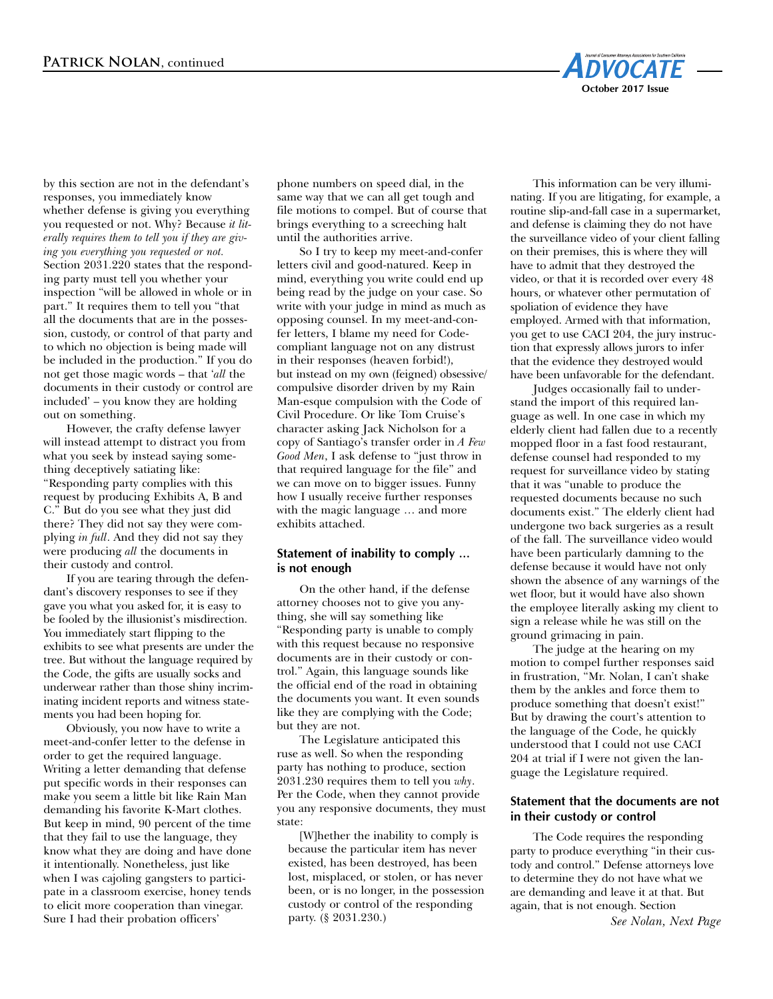

by this section are not in the defendant's responses, you immediately know whether defense is giving you everything you requested or not. Why? Because *it literally requires them to tell you if they are giving you everything you requested or not.* Section 2031.220 states that the responding party must tell you whether your inspection "will be allowed in whole or in part." It requires them to tell you "that all the documents that are in the possession, custody, or control of that party and to which no objection is being made will be included in the production." If you do not get those magic words – that '*all* the documents in their custody or control are included' – you know they are holding out on something.

However, the crafty defense lawyer will instead attempt to distract you from what you seek by instead saying something deceptively satiating like: "Responding party complies with this request by producing Exhibits A, B and C." But do you see what they just did there? They did not say they were complying *in full*. And they did not say they were producing *all* the documents in their custody and control.

If you are tearing through the defendant's discovery responses to see if they gave you what you asked for, it is easy to be fooled by the illusionist's misdirection. You immediately start flipping to the exhibits to see what presents are under the tree. But without the language required by the Code, the gifts are usually socks and underwear rather than those shiny incriminating incident reports and witness statements you had been hoping for.

Obviously, you now have to write a meet-and-confer letter to the defense in order to get the required language. Writing a letter demanding that defense put specific words in their responses can make you seem a little bit like Rain Man demanding his favorite K-Mart clothes. But keep in mind, 90 percent of the time that they fail to use the language, they know what they are doing and have done it intentionally. Nonetheless, just like when I was cajoling gangsters to participate in a classroom exercise, honey tends to elicit more cooperation than vinegar. Sure I had their probation officers'

phone numbers on speed dial, in the same way that we can all get tough and file motions to compel. But of course that brings everything to a screeching halt until the authorities arrive.

So I try to keep my meet-and-confer letters civil and good-natured. Keep in mind, everything you write could end up being read by the judge on your case. So write with your judge in mind as much as opposing counsel. In my meet-and-confer letters, I blame my need for Codecompliant language not on any distrust in their responses (heaven forbid!), but instead on my own (feigned) obsessive/ compulsive disorder driven by my Rain Man-esque compulsion with the Code of Civil Procedure. Or like Tom Cruise's character asking Jack Nicholson for a copy of Santiago's transfer order in *A Few Good Men*, I ask defense to "just throw in that required language for the file" and we can move on to bigger issues. Funny how I usually receive further responses with the magic language … and more exhibits attached.

### **Statement of inability to comply … is not enough**

On the other hand, if the defense attorney chooses not to give you anything, she will say something like "Responding party is unable to comply with this request because no responsive documents are in their custody or control." Again, this language sounds like the official end of the road in obtaining the documents you want. It even sounds like they are complying with the Code; but they are not.

The Legislature anticipated this ruse as well. So when the responding party has nothing to produce, section 2031.230 requires them to tell you *why*. Per the Code, when they cannot provide you any responsive documents, they must state:

[W]hether the inability to comply is because the particular item has never existed, has been destroyed, has been lost, misplaced, or stolen, or has never been, or is no longer, in the possession custody or control of the responding party. (§ 2031.230.)

This information can be very illuminating. If you are litigating, for example, a routine slip-and-fall case in a supermarket, and defense is claiming they do not have the surveillance video of your client falling on their premises, this is where they will have to admit that they destroyed the video, or that it is recorded over every 48 hours, or whatever other permutation of spoliation of evidence they have employed. Armed with that information, you get to use CACI 204, the jury instruction that expressly allows jurors to infer that the evidence they destroyed would have been unfavorable for the defendant.

Judges occasionally fail to understand the import of this required language as well. In one case in which my elderly client had fallen due to a recently mopped floor in a fast food restaurant, defense counsel had responded to my request for surveillance video by stating that it was "unable to produce the requested documents because no such documents exist." The elderly client had undergone two back surgeries as a result of the fall. The surveillance video would have been particularly damning to the defense because it would have not only shown the absence of any warnings of the wet floor, but it would have also shown the employee literally asking my client to sign a release while he was still on the ground grimacing in pain.

The judge at the hearing on my motion to compel further responses said in frustration, "Mr. Nolan, I can't shake them by the ankles and force them to produce something that doesn't exist!" But by drawing the court's attention to the language of the Code, he quickly understood that I could not use CACI 204 at trial if I were not given the language the Legislature required.

#### **Statement that the documents are not in their custody or control**

The Code requires the responding party to produce everything "in their custody and control." Defense attorneys love to determine they do not have what we are demanding and leave it at that. But again, that is not enough. Section

*See Nolan, Next Page*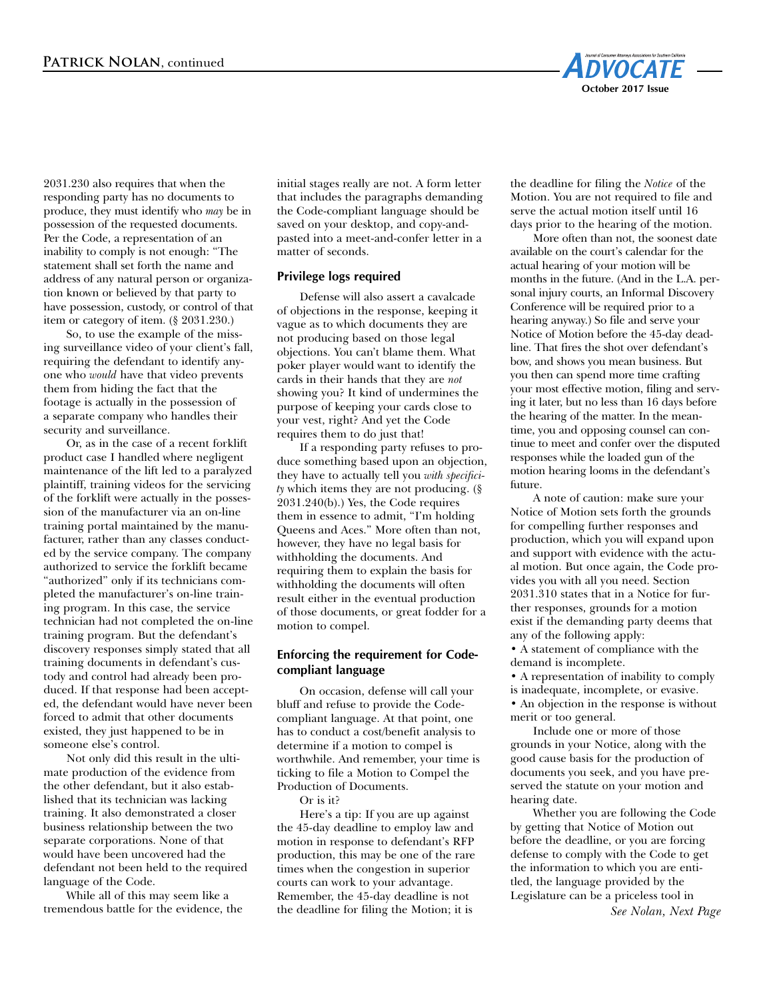

2031.230 also requires that when the responding party has no documents to produce, they must identify who *may* be in possession of the requested documents. Per the Code, a representation of an inability to comply is not enough: "The statement shall set forth the name and address of any natural person or organization known or believed by that party to have possession, custody, or control of that item or category of item. (§ 2031.230.)

So, to use the example of the missing surveillance video of your client's fall, requiring the defendant to identify anyone who *would* have that video prevents them from hiding the fact that the footage is actually in the possession of a separate company who handles their security and surveillance.

Or, as in the case of a recent forklift product case I handled where negligent maintenance of the lift led to a paralyzed plaintiff, training videos for the servicing of the forklift were actually in the possession of the manufacturer via an on-line training portal maintained by the manufacturer, rather than any classes conducted by the service company. The company authorized to service the forklift became "authorized" only if its technicians completed the manufacturer's on-line training program. In this case, the service technician had not completed the on-line training program. But the defendant's discovery responses simply stated that all training documents in defendant's custody and control had already been produced. If that response had been accepted, the defendant would have never been forced to admit that other documents existed, they just happened to be in someone else's control.

Not only did this result in the ultimate production of the evidence from the other defendant, but it also established that its technician was lacking training. It also demonstrated a closer business relationship between the two separate corporations. None of that would have been uncovered had the defendant not been held to the required language of the Code.

While all of this may seem like a tremendous battle for the evidence, the initial stages really are not. A form letter that includes the paragraphs demanding the Code-compliant language should be saved on your desktop, and copy-andpasted into a meet-and-confer letter in a matter of seconds.

### **Privilege logs required**

Defense will also assert a cavalcade of objections in the response, keeping it vague as to which documents they are not producing based on those legal objections. You can't blame them. What poker player would want to identify the cards in their hands that they are *not* showing you? It kind of undermines the purpose of keeping your cards close to your vest, right? And yet the Code requires them to do just that!

If a responding party refuses to produce something based upon an objection, they have to actually tell you *with specificity* which items they are not producing. (§ 2031.240(b).) Yes, the Code requires them in essence to admit, "I'm holding Queens and Aces." More often than not, however, they have no legal basis for withholding the documents. And requiring them to explain the basis for withholding the documents will often result either in the eventual production of those documents, or great fodder for a motion to compel.

### **Enforcing the requirement for Codecompliant language**

On occasion, defense will call your bluff and refuse to provide the Codecompliant language. At that point, one has to conduct a cost/benefit analysis to determine if a motion to compel is worthwhile. And remember, your time is ticking to file a Motion to Compel the Production of Documents.

Or is it?

Here's a tip: If you are up against the 45-day deadline to employ law and motion in response to defendant's RFP production, this may be one of the rare times when the congestion in superior courts can work to your advantage. Remember, the 45-day deadline is not the deadline for filing the Motion; it is

the deadline for filing the *Notice* of the Motion. You are not required to file and serve the actual motion itself until 16 days prior to the hearing of the motion.

More often than not, the soonest date available on the court's calendar for the actual hearing of your motion will be months in the future. (And in the L.A. personal injury courts, an Informal Discovery Conference will be required prior to a hearing anyway.) So file and serve your Notice of Motion before the 45-day deadline. That fires the shot over defendant's bow, and shows you mean business. But you then can spend more time crafting your most effective motion, filing and serving it later, but no less than 16 days before the hearing of the matter. In the meantime, you and opposing counsel can continue to meet and confer over the disputed responses while the loaded gun of the motion hearing looms in the defendant's future.

A note of caution: make sure your Notice of Motion sets forth the grounds for compelling further responses and production, which you will expand upon and support with evidence with the actual motion. But once again, the Code provides you with all you need. Section 2031.310 states that in a Notice for further responses, grounds for a motion exist if the demanding party deems that any of the following apply:

• A statement of compliance with the demand is incomplete.

• A representation of inability to comply is inadequate, incomplete, or evasive. • An objection in the response is without merit or too general.

Include one or more of those grounds in your Notice, along with the good cause basis for the production of documents you seek, and you have preserved the statute on your motion and hearing date.

Whether you are following the Code by getting that Notice of Motion out before the deadline, or you are forcing defense to comply with the Code to get the information to which you are entitled, the language provided by the Legislature can be a priceless tool in

*See Nolan, Next Page*